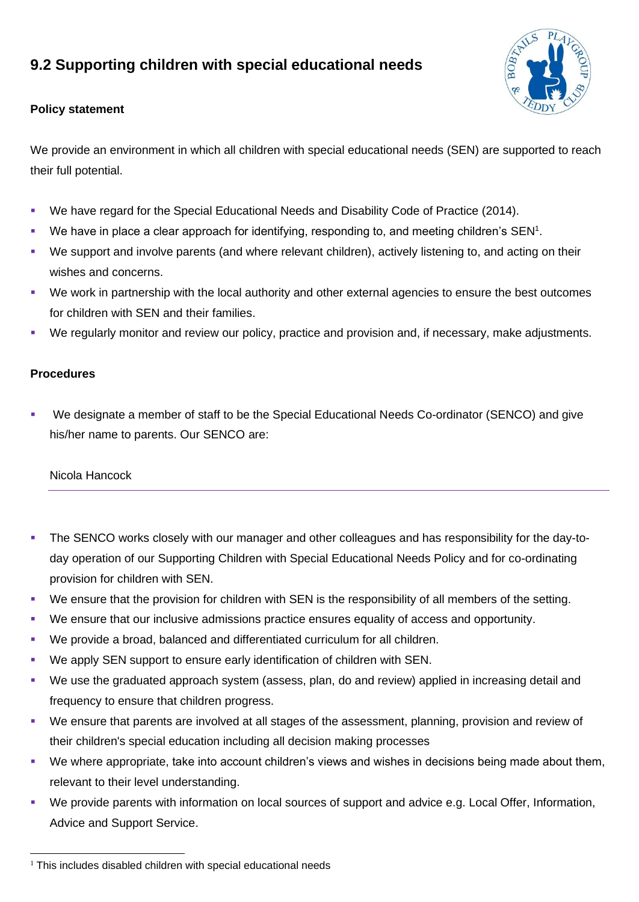# **9.2 Supporting children with special educational needs**



# **Policy statement**

We provide an environment in which all children with special educational needs (SEN) are supported to reach their full potential.

- We have regard for the Special Educational Needs and Disability Code of Practice (2014).
- We have in place a clear approach for identifying, responding to, and meeting children's SEN<sup>1</sup>.
- We support and involve parents (and where relevant children), actively listening to, and acting on their wishes and concerns.
- We work in partnership with the local authority and other external agencies to ensure the best outcomes for children with SEN and their families.
- We regularly monitor and review our policy, practice and provision and, if necessary, make adjustments.

# **Procedures**

We designate a member of staff to be the Special Educational Needs Co-ordinator (SENCO) and give his/her name to parents. Our SENCO are:

#### Nicola Hancock

- The SENCO works closely with our manager and other colleagues and has responsibility for the day-today operation of our Supporting Children with Special Educational Needs Policy and for co-ordinating provision for children with SEN.
- We ensure that the provision for children with SEN is the responsibility of all members of the setting.
- We ensure that our inclusive admissions practice ensures equality of access and opportunity.
- We provide a broad, balanced and differentiated curriculum for all children.
- We apply SEN support to ensure early identification of children with SEN.
- We use the graduated approach system (assess, plan, do and review) applied in increasing detail and frequency to ensure that children progress.
- We ensure that parents are involved at all stages of the assessment, planning, provision and review of their children's special education including all decision making processes
- We where appropriate, take into account children's views and wishes in decisions being made about them, relevant to their level understanding.
- We provide parents with information on local sources of support and advice e.g. Local Offer, Information, Advice and Support Service.

 $1$  This includes disabled children with special educational needs